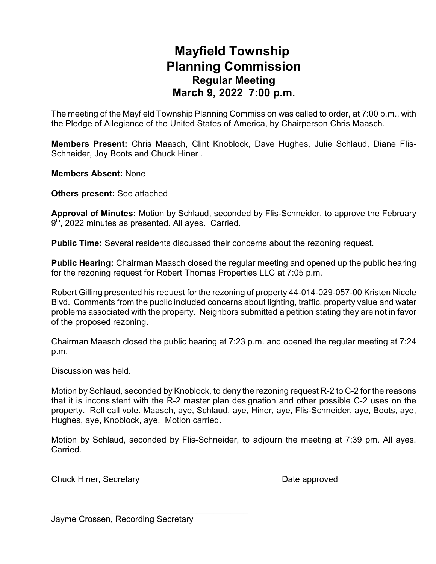## **Mayfield Township Planning Commission Regular Meeting March 9, 2022 7:00 p.m.**

The meeting of the Mayfield Township Planning Commission was called to order, at 7:00 p.m., with the Pledge of Allegiance of the United States of America, by Chairperson Chris Maasch.

**Members Present:** Chris Maasch, Clint Knoblock, Dave Hughes, Julie Schlaud, Diane Flis-Schneider, Joy Boots and Chuck Hiner .

**Members Absent:** None

**Others present:** See attached

**Approval of Minutes:** Motion by Schlaud, seconded by Flis-Schneider, to approve the February 9<sup>th</sup>, 2022 minutes as presented. All ayes. Carried.

**Public Time:** Several residents discussed their concerns about the rezoning request.

**Public Hearing:** Chairman Maasch closed the regular meeting and opened up the public hearing for the rezoning request for Robert Thomas Properties LLC at 7:05 p.m.

Robert Gilling presented his request for the rezoning of property 44-014-029-057-00 Kristen Nicole Blvd. Comments from the public included concerns about lighting, traffic, property value and water problems associated with the property. Neighbors submitted a petition stating they are not in favor of the proposed rezoning.

Chairman Maasch closed the public hearing at 7:23 p.m. and opened the regular meeting at 7:24 p.m.

Discussion was held.

Motion by Schlaud, seconded by Knoblock, to deny the rezoning request R-2 to C-2 for the reasons that it is inconsistent with the R-2 master plan designation and other possible C-2 uses on the property. Roll call vote. Maasch, aye, Schlaud, aye, Hiner, aye, Flis-Schneider, aye, Boots, aye, Hughes, aye, Knoblock, aye. Motion carried.

Motion by Schlaud, seconded by Flis-Schneider, to adjourn the meeting at 7:39 pm. All ayes. Carried.

Chuck Hiner, Secretary **Date approved** 

Jayme Crossen, Recording Secretary

 $\overline{\phantom{a}}$  , and the set of the set of the set of the set of the set of the set of the set of the set of the set of the set of the set of the set of the set of the set of the set of the set of the set of the set of the s